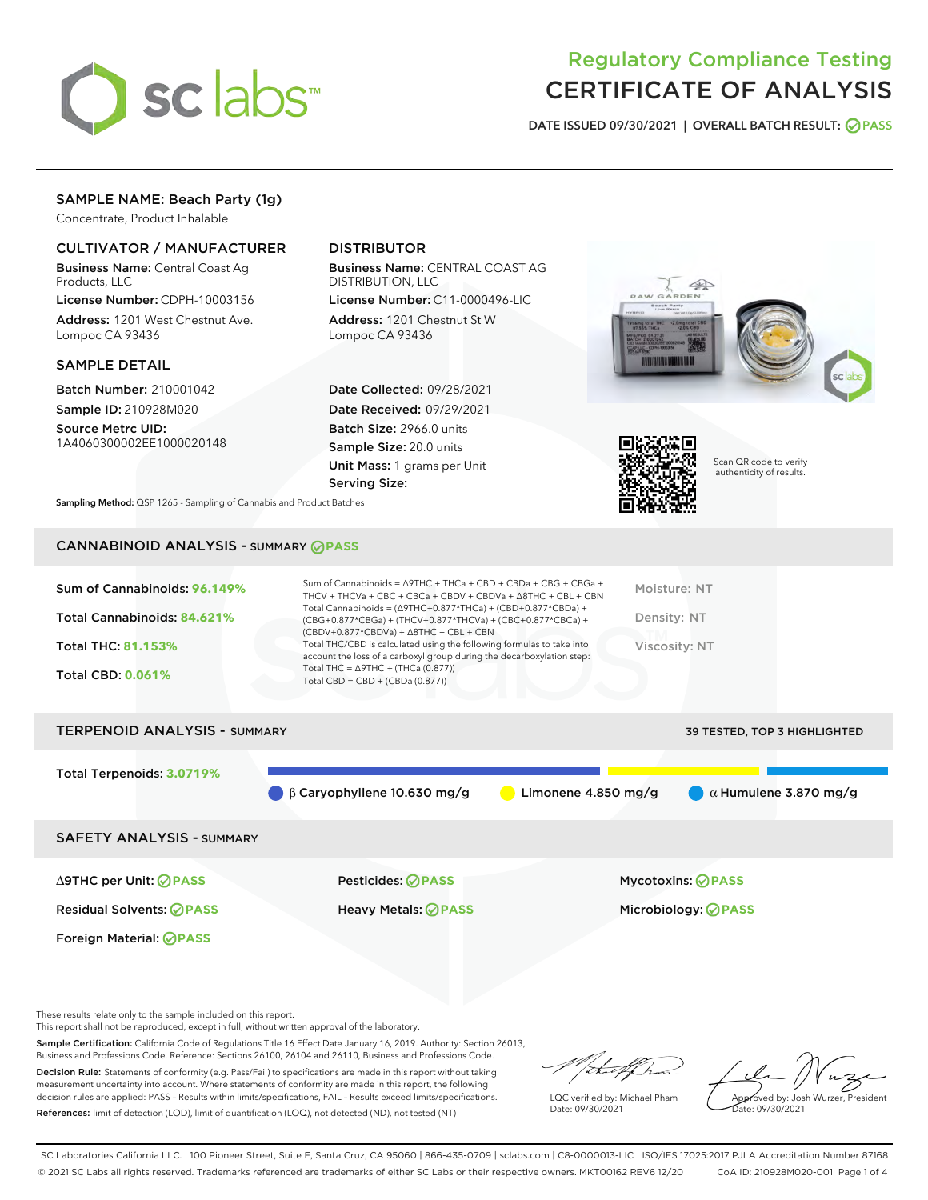

# Regulatory Compliance Testing CERTIFICATE OF ANALYSIS

DATE ISSUED 09/30/2021 | OVERALL BATCH RESULT: @ PASS

# SAMPLE NAME: Beach Party (1g)

Concentrate, Product Inhalable

# CULTIVATOR / MANUFACTURER

Business Name: Central Coast Ag Products, LLC

License Number: CDPH-10003156 Address: 1201 West Chestnut Ave. Lompoc CA 93436

#### SAMPLE DETAIL

Batch Number: 210001042 Sample ID: 210928M020

Source Metrc UID: 1A4060300002EE1000020148

# DISTRIBUTOR

Business Name: CENTRAL COAST AG DISTRIBUTION, LLC License Number: C11-0000496-LIC

Address: 1201 Chestnut St W Lompoc CA 93436

Date Collected: 09/28/2021 Date Received: 09/29/2021 Batch Size: 2966.0 units Sample Size: 20.0 units Unit Mass: 1 grams per Unit Serving Size:





Scan QR code to verify authenticity of results.

Sampling Method: QSP 1265 - Sampling of Cannabis and Product Batches

# CANNABINOID ANALYSIS - SUMMARY **PASS**

| Sum of Cannabinoids: 96.149% | Sum of Cannabinoids = $\triangle$ 9THC + THCa + CBD + CBDa + CBG + CBGa +<br>THCV + THCVa + CBC + CBCa + CBDV + CBDVa + $\triangle$ 8THC + CBL + CBN                                 | Moisture: NT  |
|------------------------------|--------------------------------------------------------------------------------------------------------------------------------------------------------------------------------------|---------------|
| Total Cannabinoids: 84.621%  | Total Cannabinoids = $(\Delta$ 9THC+0.877*THCa) + (CBD+0.877*CBDa) +<br>(CBG+0.877*CBGa) + (THCV+0.877*THCVa) + (CBC+0.877*CBCa) +<br>$(CBDV+0.877*CBDVa) + \Delta 8THC + CBL + CBN$ | Density: NT   |
| <b>Total THC: 81.153%</b>    | Total THC/CBD is calculated using the following formulas to take into<br>account the loss of a carboxyl group during the decarboxylation step:                                       | Viscosity: NT |
| <b>Total CBD: 0.061%</b>     | Total THC = $\triangle$ 9THC + (THCa (0.877))<br>Total CBD = $CBD + (CBDa (0.877))$                                                                                                  |               |
|                              |                                                                                                                                                                                      |               |

| <b>TERPENOID ANALYSIS - SUMMARY</b> |                                   |                       | <b>39 TESTED, TOP 3 HIGHLIGHTED</b> |
|-------------------------------------|-----------------------------------|-----------------------|-------------------------------------|
| Total Terpenoids: 3.0719%           |                                   |                       |                                     |
|                                     | $\beta$ Caryophyllene 10.630 mg/g | Limonene $4.850$ mg/g | $\alpha$ Humulene 3.870 mg/g        |
| <b>SAFETY ANALYSIS - SUMMARY</b>    |                                   |                       |                                     |
| ∆9THC per Unit: ⊘PASS               | <b>Pesticides: ⊘ PASS</b>         |                       | <b>Mycotoxins: ⊘PASS</b>            |

Residual Solvents: **PASS** Heavy Metals: **PASS** Microbiology: **PASS**

Foreign Material: **PASS**

These results relate only to the sample included on this report.

This report shall not be reproduced, except in full, without written approval of the laboratory.

Sample Certification: California Code of Regulations Title 16 Effect Date January 16, 2019. Authority: Section 26013, Business and Professions Code. Reference: Sections 26100, 26104 and 26110, Business and Professions Code. Decision Rule: Statements of conformity (e.g. Pass/Fail) to specifications are made in this report without taking

measurement uncertainty into account. Where statements of conformity are made in this report, the following decision rules are applied: PASS – Results within limits/specifications, FAIL – Results exceed limits/specifications. References: limit of detection (LOD), limit of quantification (LOQ), not detected (ND), not tested (NT)

that for

LQC verified by: Michael Pham Date: 09/30/2021

Approved by: Josh Wurzer, President ate: 09/30/2021

SC Laboratories California LLC. | 100 Pioneer Street, Suite E, Santa Cruz, CA 95060 | 866-435-0709 | sclabs.com | C8-0000013-LIC | ISO/IES 17025:2017 PJLA Accreditation Number 87168 © 2021 SC Labs all rights reserved. Trademarks referenced are trademarks of either SC Labs or their respective owners. MKT00162 REV6 12/20 CoA ID: 210928M020-001 Page 1 of 4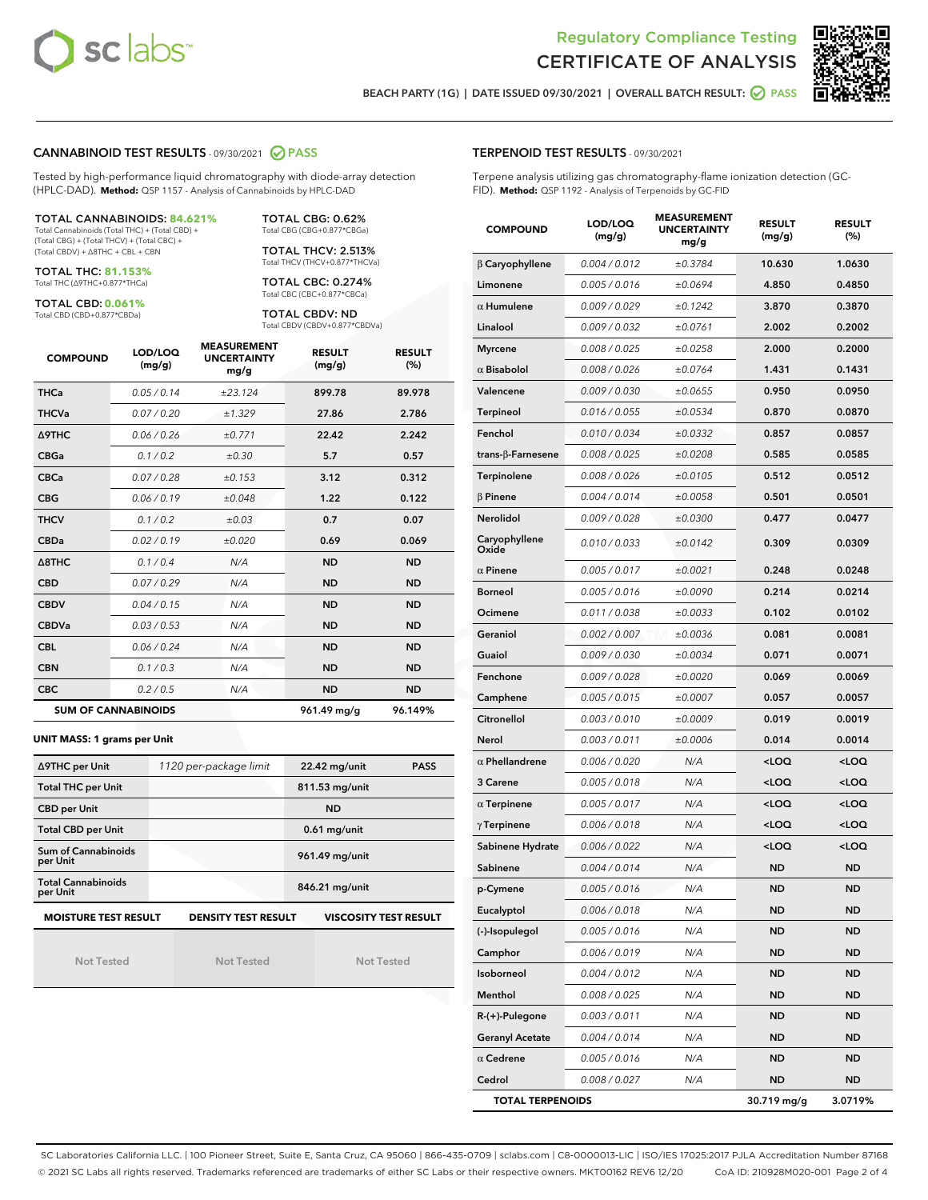



BEACH PARTY (1G) | DATE ISSUED 09/30/2021 | OVERALL BATCH RESULT: O PASS

#### CANNABINOID TEST RESULTS - 09/30/2021 2 PASS

Tested by high-performance liquid chromatography with diode-array detection (HPLC-DAD). **Method:** QSP 1157 - Analysis of Cannabinoids by HPLC-DAD

TOTAL CANNABINOIDS: **84.621%** Total Cannabinoids (Total THC) + (Total CBD) +

(Total CBG) + (Total THCV) + (Total CBC) + (Total CBDV) + ∆8THC + CBL + CBN

TOTAL THC: **81.153%** Total THC (∆9THC+0.877\*THCa)

TOTAL CBD: **0.061%**

Total CBD (CBD+0.877\*CBDa)

TOTAL CBG: 0.62% Total CBG (CBG+0.877\*CBGa)

TOTAL THCV: 2.513% Total THCV (THCV+0.877\*THCVa)

TOTAL CBC: 0.274% Total CBC (CBC+0.877\*CBCa)

TOTAL CBDV: ND Total CBDV (CBDV+0.877\*CBDVa)

| <b>COMPOUND</b>  | LOD/LOQ<br>(mg/g)          | <b>MEASUREMENT</b><br><b>UNCERTAINTY</b><br>mg/g | <b>RESULT</b><br>(mg/g) | <b>RESULT</b><br>(%) |
|------------------|----------------------------|--------------------------------------------------|-------------------------|----------------------|
| <b>THCa</b>      | 0.05 / 0.14                | ±23.124                                          | 899.78                  | 89.978               |
| <b>THCVa</b>     | 0.07/0.20                  | ±1.329                                           | 27.86                   | 2.786                |
| <b>A9THC</b>     | 0.06 / 0.26                | ±0.771                                           | 22.42                   | 2.242                |
| <b>CBGa</b>      | 0.1/0.2                    | ±0.30                                            | 5.7                     | 0.57                 |
| <b>CBCa</b>      | 0.07/0.28                  | ±0.153                                           | 3.12                    | 0.312                |
| <b>CBG</b>       | 0.06/0.19                  | ±0.048                                           | 1.22                    | 0.122                |
| <b>THCV</b>      | 0.1/0.2                    | ±0.03                                            | 0.7                     | 0.07                 |
| <b>CBDa</b>      | 0.02/0.19                  | ±0.020                                           | 0.69                    | 0.069                |
| $\triangle$ 8THC | 0.1 / 0.4                  | N/A                                              | <b>ND</b>               | <b>ND</b>            |
| <b>CBD</b>       | 0.07/0.29                  | N/A                                              | <b>ND</b>               | <b>ND</b>            |
| <b>CBDV</b>      | 0.04 / 0.15                | N/A                                              | <b>ND</b>               | <b>ND</b>            |
| <b>CBDVa</b>     | 0.03/0.53                  | N/A                                              | <b>ND</b>               | <b>ND</b>            |
| <b>CBL</b>       | 0.06/0.24                  | N/A                                              | <b>ND</b>               | <b>ND</b>            |
| <b>CBN</b>       | 0.1 / 0.3                  | N/A                                              | <b>ND</b>               | <b>ND</b>            |
| <b>CBC</b>       | 0.2 / 0.5                  | N/A                                              | <b>ND</b>               | <b>ND</b>            |
|                  | <b>SUM OF CANNABINOIDS</b> |                                                  | 961.49 mg/g             | 96.149%              |

#### **UNIT MASS: 1 grams per Unit**

| ∆9THC per Unit                        | 1120 per-package limit                                                                    | 22.42 mg/unit<br><b>PASS</b> |  |  |  |  |
|---------------------------------------|-------------------------------------------------------------------------------------------|------------------------------|--|--|--|--|
| <b>Total THC per Unit</b>             |                                                                                           | 811.53 mg/unit               |  |  |  |  |
| <b>CBD per Unit</b>                   |                                                                                           | <b>ND</b>                    |  |  |  |  |
| <b>Total CBD per Unit</b>             |                                                                                           | $0.61$ mg/unit               |  |  |  |  |
| Sum of Cannabinoids<br>per Unit       |                                                                                           | 961.49 mg/unit               |  |  |  |  |
| <b>Total Cannabinoids</b><br>per Unit |                                                                                           | 846.21 mg/unit               |  |  |  |  |
|                                       | <b>MOISTURE TEST RESULT</b><br><b>DENSITY TEST RESULT</b><br><b>VISCOSITY TEST RESULT</b> |                              |  |  |  |  |

Not Tested

Not Tested

Not Tested

TERPENOID TEST RESULTS - 09/30/2021

Terpene analysis utilizing gas chromatography-flame ionization detection (GC-FID). **Method:** QSP 1192 - Analysis of Terpenoids by GC-FID

| <b>COMPOUND</b>         | LOD/LOQ<br>(mg/g) | <b>MEASUREMENT</b><br><b>UNCERTAINTY</b><br>mg/g | <b>RESULT</b><br>(mg/g)                         | <b>RESULT</b><br>$(\%)$ |
|-------------------------|-------------------|--------------------------------------------------|-------------------------------------------------|-------------------------|
| β Caryophyllene         | 0.004 / 0.012     | ±0.3784                                          | 10.630                                          | 1.0630                  |
| Limonene                | 0.005 / 0.016     | ±0.0694                                          | 4.850                                           | 0.4850                  |
| $\alpha$ Humulene       | 0.009 / 0.029     | ±0.1242                                          | 3.870                                           | 0.3870                  |
| Linalool                | 0.009 / 0.032     | ±0.0761                                          | 2.002                                           | 0.2002                  |
| <b>Myrcene</b>          | 0.008 / 0.025     | ±0.0258                                          | 2.000                                           | 0.2000                  |
| $\alpha$ Bisabolol      | 0.008 / 0.026     | ±0.0764                                          | 1.431                                           | 0.1431                  |
| Valencene               | 0.009 / 0.030     | ±0.0655                                          | 0.950                                           | 0.0950                  |
| Terpineol               | 0.016 / 0.055     | ±0.0534                                          | 0.870                                           | 0.0870                  |
| Fenchol                 | 0.010 / 0.034     | ±0.0332                                          | 0.857                                           | 0.0857                  |
| trans-β-Farnesene       | 0.008 / 0.025     | ±0.0208                                          | 0.585                                           | 0.0585                  |
| Terpinolene             | 0.008 / 0.026     | ±0.0105                                          | 0.512                                           | 0.0512                  |
| $\beta$ Pinene          | 0.004 / 0.014     | ±0.0058                                          | 0.501                                           | 0.0501                  |
| Nerolidol               | 0.009 / 0.028     | ±0.0300                                          | 0.477                                           | 0.0477                  |
| Caryophyllene<br>Oxide  | 0.010 / 0.033     | ±0.0142                                          | 0.309                                           | 0.0309                  |
| $\alpha$ Pinene         | 0.005 / 0.017     | ±0.0021                                          | 0.248                                           | 0.0248                  |
| <b>Borneol</b>          | 0.005 / 0.016     | ±0.0090                                          | 0.214                                           | 0.0214                  |
| Ocimene                 | 0.011 / 0.038     | ±0.0033                                          | 0.102                                           | 0.0102                  |
| Geraniol                | 0.002 / 0.007     | ±0.0036                                          | 0.081                                           | 0.0081                  |
| Guaiol                  | 0.009 / 0.030     | ±0.0034                                          | 0.071                                           | 0.0071                  |
| Fenchone                | 0.009 / 0.028     | ±0.0020                                          | 0.069                                           | 0.0069                  |
| Camphene                | 0.005 / 0.015     | ±0.0007                                          | 0.057                                           | 0.0057                  |
| Citronellol             | 0.003 / 0.010     | ±0.0009                                          | 0.019                                           | 0.0019                  |
| Nerol                   | 0.003 / 0.011     | ±0.0006                                          | 0.014                                           | 0.0014                  |
| $\alpha$ Phellandrene   | 0.006 / 0.020     | N/A                                              | <loq< th=""><th><loq< th=""></loq<></th></loq<> | <loq< th=""></loq<>     |
| 3 Carene                | 0.005 / 0.018     | N/A                                              | <loq< th=""><th><loq< th=""></loq<></th></loq<> | <loq< th=""></loq<>     |
| $\alpha$ Terpinene      | 0.005 / 0.017     | N/A                                              | <loq< th=""><th><loq< th=""></loq<></th></loq<> | <loq< th=""></loq<>     |
| $\gamma$ Terpinene      | 0.006 / 0.018     | N/A                                              | <loq< th=""><th><loq< th=""></loq<></th></loq<> | <loq< th=""></loq<>     |
| Sabinene Hydrate        | 0.006 / 0.022     | N/A                                              | <loq< th=""><th><loq< th=""></loq<></th></loq<> | <loq< th=""></loq<>     |
| Sabinene                | 0.004 / 0.014     | N/A                                              | <b>ND</b>                                       | ND                      |
| p-Cymene                | 0.005 / 0.016     | N/A                                              | <b>ND</b>                                       | <b>ND</b>               |
| Eucalyptol              | 0.006 / 0.018     | N/A                                              | ND                                              | ND                      |
| (-)-Isopulegol          | 0.005 / 0.016     | N/A                                              | ND                                              | <b>ND</b>               |
| Camphor                 | 0.006 / 0.019     | N/A                                              | ND                                              | ND                      |
| Isoborneol              | 0.004 / 0.012     | N/A                                              | ND                                              | ND                      |
| Menthol                 | 0.008 / 0.025     | N/A                                              | ND                                              | ND                      |
| R-(+)-Pulegone          | 0.003 / 0.011     | N/A                                              | ND                                              | ND                      |
| <b>Geranyl Acetate</b>  | 0.004 / 0.014     | N/A                                              | ND                                              | ND                      |
| $\alpha$ Cedrene        | 0.005 / 0.016     | N/A                                              | ND                                              | ND                      |
| Cedrol                  | 0.008 / 0.027     | N/A                                              | ND                                              | ND                      |
| <b>TOTAL TERPENOIDS</b> |                   |                                                  | 30.719 mg/g                                     | 3.0719%                 |

SC Laboratories California LLC. | 100 Pioneer Street, Suite E, Santa Cruz, CA 95060 | 866-435-0709 | sclabs.com | C8-0000013-LIC | ISO/IES 17025:2017 PJLA Accreditation Number 87168 © 2021 SC Labs all rights reserved. Trademarks referenced are trademarks of either SC Labs or their respective owners. MKT00162 REV6 12/20 CoA ID: 210928M020-001 Page 2 of 4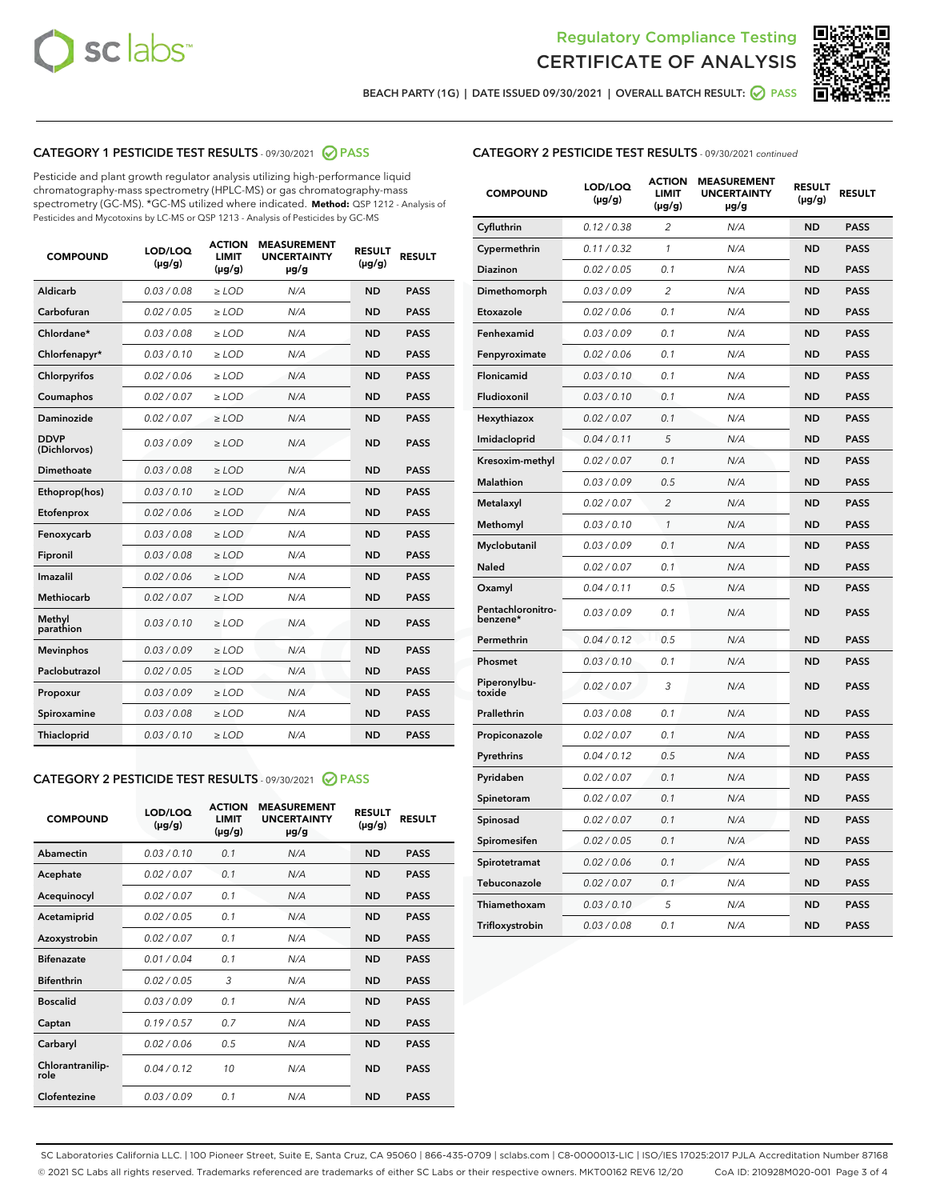



BEACH PARTY (1G) | DATE ISSUED 09/30/2021 | OVERALL BATCH RESULT:  $\bigcirc$  PASS

# CATEGORY 1 PESTICIDE TEST RESULTS - 09/30/2021 2 PASS

Pesticide and plant growth regulator analysis utilizing high-performance liquid chromatography-mass spectrometry (HPLC-MS) or gas chromatography-mass spectrometry (GC-MS). \*GC-MS utilized where indicated. **Method:** QSP 1212 - Analysis of Pesticides and Mycotoxins by LC-MS or QSP 1213 - Analysis of Pesticides by GC-MS

| <b>COMPOUND</b>             | LOD/LOQ<br>$(\mu g/g)$ | <b>ACTION</b><br><b>LIMIT</b><br>$(\mu g/g)$ | <b>MEASUREMENT</b><br><b>UNCERTAINTY</b><br>$\mu$ g/g | <b>RESULT</b><br>$(\mu g/g)$ | <b>RESULT</b> |
|-----------------------------|------------------------|----------------------------------------------|-------------------------------------------------------|------------------------------|---------------|
| Aldicarb                    | 0.03 / 0.08            | $\ge$ LOD                                    | N/A                                                   | <b>ND</b>                    | <b>PASS</b>   |
| Carbofuran                  | 0.02/0.05              | $>$ LOD                                      | N/A                                                   | <b>ND</b>                    | <b>PASS</b>   |
| Chlordane*                  | 0.03 / 0.08            | $\ge$ LOD                                    | N/A                                                   | <b>ND</b>                    | <b>PASS</b>   |
| Chlorfenapyr*               | 0.03/0.10              | $\ge$ LOD                                    | N/A                                                   | <b>ND</b>                    | <b>PASS</b>   |
| Chlorpyrifos                | 0.02 / 0.06            | $\ge$ LOD                                    | N/A                                                   | <b>ND</b>                    | <b>PASS</b>   |
| Coumaphos                   | 0.02 / 0.07            | $\ge$ LOD                                    | N/A                                                   | <b>ND</b>                    | <b>PASS</b>   |
| Daminozide                  | 0.02/0.07              | $>$ LOD                                      | N/A                                                   | <b>ND</b>                    | <b>PASS</b>   |
| <b>DDVP</b><br>(Dichlorvos) | 0.03/0.09              | $\ge$ LOD                                    | N/A                                                   | <b>ND</b>                    | <b>PASS</b>   |
| Dimethoate                  | 0.03/0.08              | $\ge$ LOD                                    | N/A                                                   | <b>ND</b>                    | <b>PASS</b>   |
| Ethoprop(hos)               | 0.03/0.10              | $>$ LOD                                      | N/A                                                   | <b>ND</b>                    | <b>PASS</b>   |
| Etofenprox                  | 0.02 / 0.06            | $\ge$ LOD                                    | N/A                                                   | <b>ND</b>                    | <b>PASS</b>   |
| Fenoxycarb                  | 0.03/0.08              | $\ge$ LOD                                    | N/A                                                   | <b>ND</b>                    | <b>PASS</b>   |
| Fipronil                    | 0.03/0.08              | $\ge$ LOD                                    | N/A                                                   | <b>ND</b>                    | <b>PASS</b>   |
| Imazalil                    | 0.02 / 0.06            | $\ge$ LOD                                    | N/A                                                   | <b>ND</b>                    | <b>PASS</b>   |
| <b>Methiocarb</b>           | 0.02 / 0.07            | $\ge$ LOD                                    | N/A                                                   | <b>ND</b>                    | <b>PASS</b>   |
| Methyl<br>parathion         | 0.03/0.10              | $\ge$ LOD                                    | N/A                                                   | <b>ND</b>                    | <b>PASS</b>   |
| <b>Mevinphos</b>            | 0.03/0.09              | $>$ LOD                                      | N/A                                                   | <b>ND</b>                    | <b>PASS</b>   |
| Paclobutrazol               | 0.02 / 0.05            | $\ge$ LOD                                    | N/A                                                   | <b>ND</b>                    | <b>PASS</b>   |
| Propoxur                    | 0.03/0.09              | $\ge$ LOD                                    | N/A                                                   | <b>ND</b>                    | <b>PASS</b>   |
| Spiroxamine                 | 0.03/0.08              | $\ge$ LOD                                    | N/A                                                   | <b>ND</b>                    | <b>PASS</b>   |
| Thiacloprid                 | 0.03/0.10              | $\ge$ LOD                                    | N/A                                                   | <b>ND</b>                    | <b>PASS</b>   |

#### CATEGORY 2 PESTICIDE TEST RESULTS - 09/30/2021 @ PASS

| <b>COMPOUND</b>          | LOD/LOO<br>$(\mu g/g)$ | <b>ACTION</b><br>LIMIT<br>$(\mu g/g)$ | <b>MEASUREMENT</b><br><b>UNCERTAINTY</b><br>µg/g | <b>RESULT</b><br>$(\mu g/g)$ | <b>RESULT</b> |
|--------------------------|------------------------|---------------------------------------|--------------------------------------------------|------------------------------|---------------|
| Abamectin                | 0.03/0.10              | 0.1                                   | N/A                                              | <b>ND</b>                    | <b>PASS</b>   |
| Acephate                 | 0.02/0.07              | 0.1                                   | N/A                                              | <b>ND</b>                    | <b>PASS</b>   |
| Acequinocyl              | 0.02/0.07              | 0.1                                   | N/A                                              | <b>ND</b>                    | <b>PASS</b>   |
| Acetamiprid              | 0.02/0.05              | 0.1                                   | N/A                                              | <b>ND</b>                    | <b>PASS</b>   |
| Azoxystrobin             | 0.02/0.07              | 0.1                                   | N/A                                              | <b>ND</b>                    | <b>PASS</b>   |
| <b>Bifenazate</b>        | 0.01/0.04              | 0.1                                   | N/A                                              | <b>ND</b>                    | <b>PASS</b>   |
| <b>Bifenthrin</b>        | 0.02/0.05              | 3                                     | N/A                                              | <b>ND</b>                    | <b>PASS</b>   |
| <b>Boscalid</b>          | 0.03/0.09              | 0.1                                   | N/A                                              | <b>ND</b>                    | <b>PASS</b>   |
| Captan                   | 0.19/0.57              | 0.7                                   | N/A                                              | <b>ND</b>                    | <b>PASS</b>   |
| Carbaryl                 | 0.02/0.06              | 0.5                                   | N/A                                              | <b>ND</b>                    | <b>PASS</b>   |
| Chlorantranilip-<br>role | 0.04/0.12              | 10                                    | N/A                                              | <b>ND</b>                    | <b>PASS</b>   |
| Clofentezine             | 0.03/0.09              | 0.1                                   | N/A                                              | <b>ND</b>                    | <b>PASS</b>   |

## CATEGORY 2 PESTICIDE TEST RESULTS - 09/30/2021 continued

| <b>COMPOUND</b>               | LOD/LOQ<br>(µg/g) | <b>ACTION</b><br>LIMIT<br>$(\mu g/g)$ | <b>MEASUREMENT</b><br><b>UNCERTAINTY</b><br>µg/g | <b>RESULT</b><br>(µg/g) | <b>RESULT</b> |
|-------------------------------|-------------------|---------------------------------------|--------------------------------------------------|-------------------------|---------------|
| Cyfluthrin                    | 0.12 / 0.38       | $\overline{c}$                        | N/A                                              | ND                      | <b>PASS</b>   |
| Cypermethrin                  | 0.11 / 0.32       | $\mathcal{I}$                         | N/A                                              | ND                      | <b>PASS</b>   |
| <b>Diazinon</b>               | 0.02 / 0.05       | 0.1                                   | N/A                                              | <b>ND</b>               | <b>PASS</b>   |
| Dimethomorph                  | 0.03 / 0.09       | $\overline{2}$                        | N/A                                              | ND                      | <b>PASS</b>   |
| Etoxazole                     | 0.02 / 0.06       | 0.1                                   | N/A                                              | ND                      | <b>PASS</b>   |
| Fenhexamid                    | 0.03 / 0.09       | 0.1                                   | N/A                                              | <b>ND</b>               | <b>PASS</b>   |
| Fenpyroximate                 | 0.02 / 0.06       | 0.1                                   | N/A                                              | <b>ND</b>               | <b>PASS</b>   |
| Flonicamid                    | 0.03 / 0.10       | 0.1                                   | N/A                                              | ND                      | <b>PASS</b>   |
| Fludioxonil                   | 0.03 / 0.10       | 0.1                                   | N/A                                              | ND                      | <b>PASS</b>   |
| Hexythiazox                   | 0.02 / 0.07       | 0.1                                   | N/A                                              | ND                      | <b>PASS</b>   |
| Imidacloprid                  | 0.04 / 0.11       | 5                                     | N/A                                              | ND                      | <b>PASS</b>   |
| Kresoxim-methyl               | 0.02 / 0.07       | 0.1                                   | N/A                                              | ND                      | <b>PASS</b>   |
| <b>Malathion</b>              | 0.03 / 0.09       | 0.5                                   | N/A                                              | <b>ND</b>               | <b>PASS</b>   |
| Metalaxyl                     | 0.02 / 0.07       | $\overline{c}$                        | N/A                                              | ND                      | <b>PASS</b>   |
| Methomyl                      | 0.03 / 0.10       | 1                                     | N/A                                              | <b>ND</b>               | <b>PASS</b>   |
| Myclobutanil                  | 0.03 / 0.09       | 0.1                                   | N/A                                              | ND                      | <b>PASS</b>   |
| Naled                         | 0.02 / 0.07       | 0.1                                   | N/A                                              | ND                      | <b>PASS</b>   |
| Oxamyl                        | 0.04 / 0.11       | 0.5                                   | N/A                                              | ND                      | <b>PASS</b>   |
| Pentachloronitro-<br>benzene* | 0.03 / 0.09       | 0.1                                   | N/A                                              | ND                      | <b>PASS</b>   |
| Permethrin                    | 0.04 / 0.12       | 0.5                                   | N/A                                              | ND                      | <b>PASS</b>   |
| Phosmet                       | 0.03 / 0.10       | 0.1                                   | N/A                                              | ND                      | <b>PASS</b>   |
| Piperonylbu-<br>toxide        | 0.02 / 0.07       | 3                                     | N/A                                              | <b>ND</b>               | <b>PASS</b>   |
| Prallethrin                   | 0.03 / 0.08       | 0.1                                   | N/A                                              | ND                      | <b>PASS</b>   |
| Propiconazole                 | 0.02 / 0.07       | 0.1                                   | N/A                                              | ND                      | <b>PASS</b>   |
| Pyrethrins                    | 0.04 / 0.12       | 0.5                                   | N/A                                              | ND                      | <b>PASS</b>   |
| Pyridaben                     | 0.02 / 0.07       | 0.1                                   | N/A                                              | ND                      | <b>PASS</b>   |
| Spinetoram                    | 0.02 / 0.07       | 0.1                                   | N/A                                              | ND                      | <b>PASS</b>   |
| Spinosad                      | 0.02 / 0.07       | 0.1                                   | N/A                                              | ND                      | <b>PASS</b>   |
| Spiromesifen                  | 0.02 / 0.05       | 0.1                                   | N/A                                              | <b>ND</b>               | <b>PASS</b>   |
| Spirotetramat                 | 0.02 / 0.06       | 0.1                                   | N/A                                              | ND                      | <b>PASS</b>   |
| Tebuconazole                  | 0.02 / 0.07       | 0.1                                   | N/A                                              | ND                      | PASS          |
| Thiamethoxam                  | 0.03 / 0.10       | 5                                     | N/A                                              | ND                      | <b>PASS</b>   |
| Trifloxystrobin               | 0.03 / 0.08       | 0.1                                   | N/A                                              | <b>ND</b>               | <b>PASS</b>   |

SC Laboratories California LLC. | 100 Pioneer Street, Suite E, Santa Cruz, CA 95060 | 866-435-0709 | sclabs.com | C8-0000013-LIC | ISO/IES 17025:2017 PJLA Accreditation Number 87168 © 2021 SC Labs all rights reserved. Trademarks referenced are trademarks of either SC Labs or their respective owners. MKT00162 REV6 12/20 CoA ID: 210928M020-001 Page 3 of 4